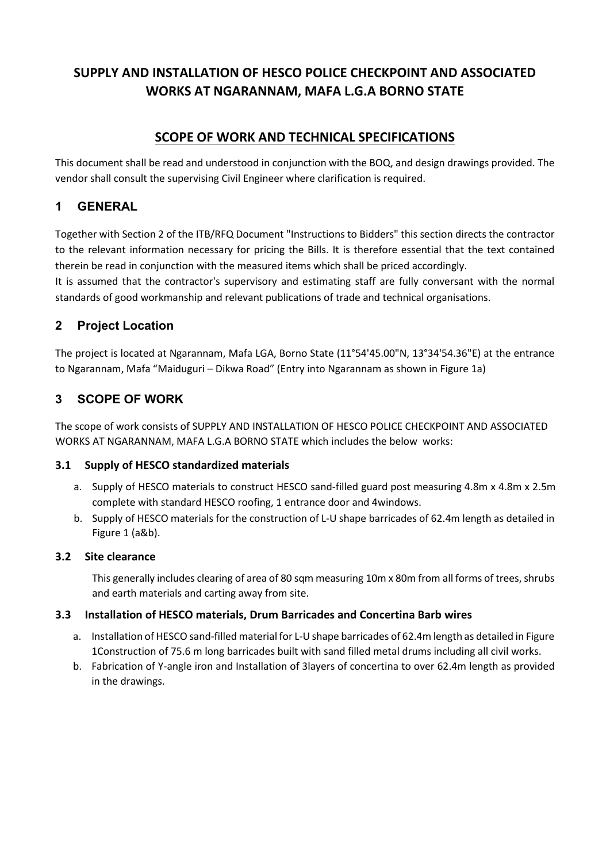# **SCOPE OF WORK AND TECHNICAL SPECIFICATIONS**

This document shall be read and understood in conjunction with the BOQ, and design drawings provided. The vendor shall consult the supervising Civil Engineer where clarification is required.

## **1 GENERAL**

Together with Section 2 of the ITB/RFQ Document "Instructions to Bidders" this section directs the contractor to the relevant information necessary for pricing the Bills. It is therefore essential that the text contained therein be read in conjunction with the measured items which shall be priced accordingly.

It is assumed that the contractor's supervisory and estimating staff are fully conversant with the normal standards of good workmanship and relevant publications of trade and technical organisations.

# **2 Project Location**

The project is located at Ngarannam, Mafa LGA, Borno State (11°54'45.00"N, 13°34'54.36"E) at the entrance to Ngarannam, Mafa "Maiduguri – Dikwa Road" (Entry into Ngarannam as shown in Figure 1a)

# **3 SCOPE OF WORK**

The scope of work consists of SUPPLY AND INSTALLATION OF HESCO POLICE CHECKPOINT AND ASSOCIATED WORKS AT NGARANNAM, MAFA L.G.A BORNO STATE which includes the below works:

## **3.1 Supply of HESCO standardized materials**

- a. Supply of HESCO materials to construct HESCO sand-filled guard post measuring 4.8m x 4.8m x 2.5m complete with standard HESCO roofing, 1 entrance door and 4windows.
- b. Supply of HESCO materials for the construction of L-U shape barricades of 62.4m length as detailed in Figure 1 (a&b).

## **3.2 Site clearance**

This generally includes clearing of area of 80 sqm measuring 10m x 80m from all forms of trees, shrubs and earth materials and carting away from site.

## **3.3 Installation of HESCO materials, Drum Barricades and Concertina Barb wires**

- a. Installation of HESCO sand-filled material for L-U shape barricades of 62.4m length as detailed in Figure 1Construction of 75.6 m long barricades built with sand filled metal drums including all civil works.
- b. Fabrication of Y-angle iron and Installation of 3layers of concertina to over 62.4m length as provided in the drawings.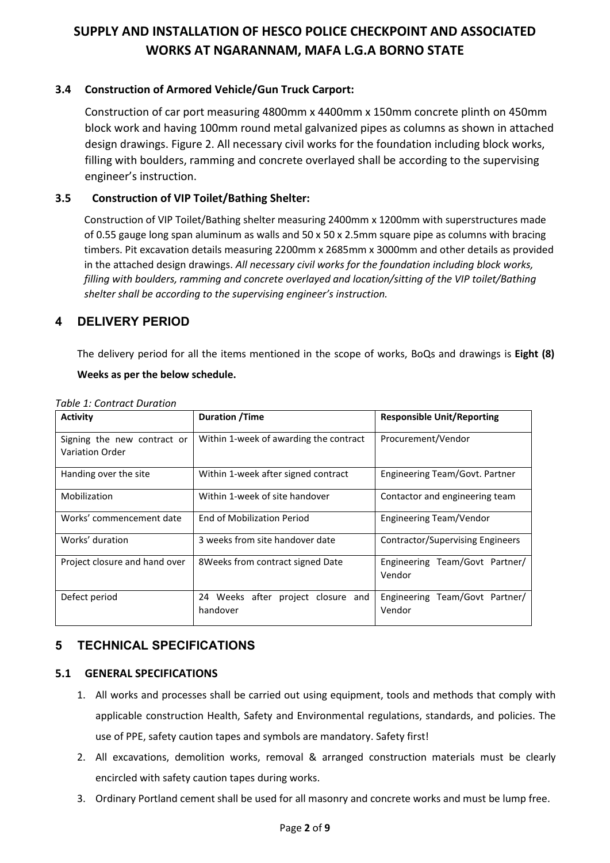### **3.4 Construction of Armored Vehicle/Gun Truck Carport:**

Construction of car port measuring 4800mm x 4400mm x 150mm concrete plinth on 450mm block work and having 100mm round metal galvanized pipes as columns as shown in attached design drawings. Figure 2. All necessary civil works for the foundation including block works, filling with boulders, ramming and concrete overlayed shall be according to the supervising engineer's instruction.

### **3.5 Construction of VIP Toilet/Bathing Shelter:**

Construction of VIP Toilet/Bathing shelter measuring 2400mm x 1200mm with superstructures made of 0.55 gauge long span aluminum as walls and 50 x 50 x 2.5mm square pipe as columns with bracing timbers. Pit excavation details measuring 2200mm x 2685mm x 3000mm and other details as provided in the attached design drawings. *All necessary civil works for the foundation including block works, filling with boulders, ramming and concrete overlayed and location/sitting of the VIP toilet/Bathing shelter shall be according to the supervising engineer's instruction.*

## **4 DELIVERY PERIOD**

The delivery period for all the items mentioned in the scope of works, BoQs and drawings is **Eight (8)** 

#### **Weeks as per the below schedule.**

| <b>Activity</b>                                       | <b>Duration /Time</b>                          | <b>Responsible Unit/Reporting</b>        |  |  |
|-------------------------------------------------------|------------------------------------------------|------------------------------------------|--|--|
| Signing the new contract or<br><b>Variation Order</b> | Within 1-week of awarding the contract         | Procurement/Vendor                       |  |  |
| Handing over the site                                 | Within 1-week after signed contract            | Engineering Team/Govt. Partner           |  |  |
| Mobilization                                          | Within 1-week of site handover                 | Contactor and engineering team           |  |  |
| Works' commencement date                              | End of Mobilization Period                     | Engineering Team/Vendor                  |  |  |
| Works' duration                                       | 3 weeks from site handover date                | Contractor/Supervising Engineers         |  |  |
| Project closure and hand over                         | 8Weeks from contract signed Date               | Engineering Team/Govt Partner/<br>Vendor |  |  |
| Defect period                                         | 24 Weeks after project closure and<br>handover | Engineering Team/Govt Partner/<br>Vendor |  |  |

*Table 1: Contract Duration* 

## **5 TECHNICAL SPECIFICATIONS**

#### **5.1 GENERAL SPECIFICATIONS**

- 1. All works and processes shall be carried out using equipment, tools and methods that comply with applicable construction Health, Safety and Environmental regulations, standards, and policies. The use of PPE, safety caution tapes and symbols are mandatory. Safety first!
- 2. All excavations, demolition works, removal & arranged construction materials must be clearly encircled with safety caution tapes during works.
- 3. Ordinary Portland cement shall be used for all masonry and concrete works and must be lump free.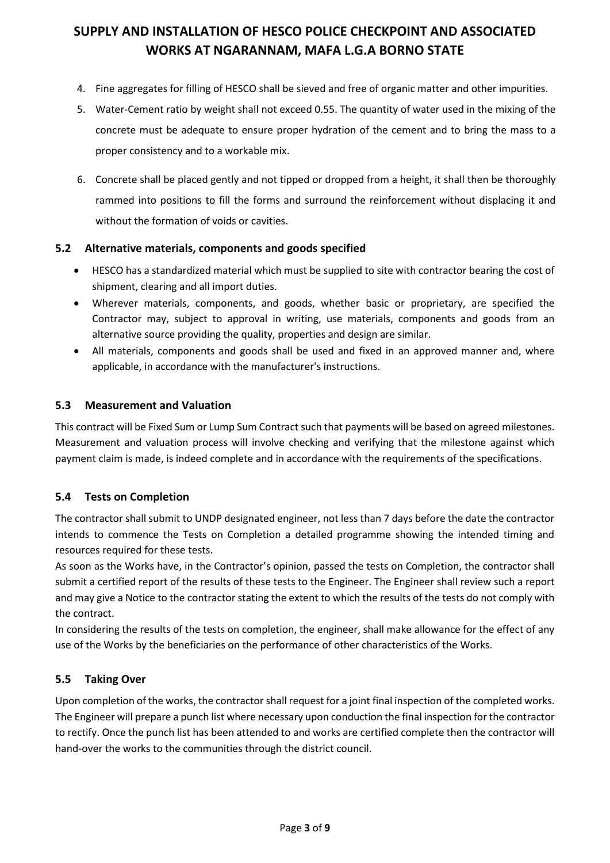- 4. Fine aggregates for filling of HESCO shall be sieved and free of organic matter and other impurities.
- 5. Water-Cement ratio by weight shall not exceed 0.55. The quantity of water used in the mixing of the concrete must be adequate to ensure proper hydration of the cement and to bring the mass to a proper consistency and to a workable mix.
- 6. Concrete shall be placed gently and not tipped or dropped from a height, it shall then be thoroughly rammed into positions to fill the forms and surround the reinforcement without displacing it and without the formation of voids or cavities.

#### **5.2 Alternative materials, components and goods specified**

- HESCO has a standardized material which must be supplied to site with contractor bearing the cost of shipment, clearing and all import duties.
- Wherever materials, components, and goods, whether basic or proprietary, are specified the Contractor may, subject to approval in writing, use materials, components and goods from an alternative source providing the quality, properties and design are similar.
- All materials, components and goods shall be used and fixed in an approved manner and, where applicable, in accordance with the manufacturer's instructions.

### **5.3 Measurement and Valuation**

This contract will be Fixed Sum or Lump Sum Contract such that payments will be based on agreed milestones. Measurement and valuation process will involve checking and verifying that the milestone against which payment claim is made, is indeed complete and in accordance with the requirements of the specifications.

## **5.4 Tests on Completion**

The contractor shall submit to UNDP designated engineer, not less than 7 days before the date the contractor intends to commence the Tests on Completion a detailed programme showing the intended timing and resources required for these tests.

As soon as the Works have, in the Contractor's opinion, passed the tests on Completion, the contractor shall submit a certified report of the results of these tests to the Engineer. The Engineer shall review such a report and may give a Notice to the contractor stating the extent to which the results of the tests do not comply with the contract.

In considering the results of the tests on completion, the engineer, shall make allowance for the effect of any use of the Works by the beneficiaries on the performance of other characteristics of the Works.

#### **5.5 Taking Over**

Upon completion of the works, the contractor shall request for a joint final inspection of the completed works. The Engineer will prepare a punch list where necessary upon conduction the final inspection for the contractor to rectify. Once the punch list has been attended to and works are certified complete then the contractor will hand-over the works to the communities through the district council.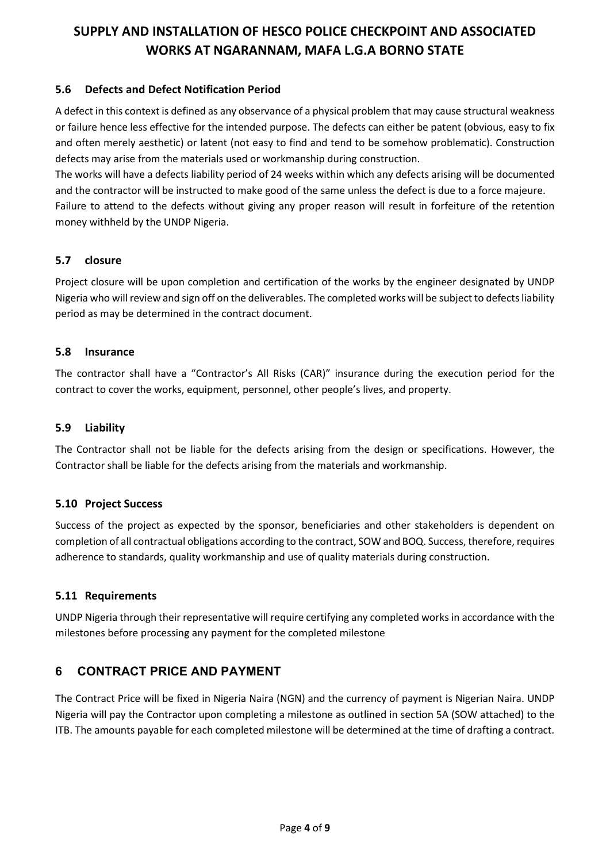#### **5.6 Defects and Defect Notification Period**

A defect in this context is defined as any observance of a physical problem that may cause structural weakness or failure hence less effective for the intended purpose. The defects can either be patent (obvious, easy to fix and often merely aesthetic) or latent (not easy to find and tend to be somehow problematic). Construction defects may arise from the materials used or workmanship during construction.

The works will have a defects liability period of 24 weeks within which any defects arising will be documented and the contractor will be instructed to make good of the same unless the defect is due to a force majeure. Failure to attend to the defects without giving any proper reason will result in forfeiture of the retention money withheld by the UNDP Nigeria.

#### **5.7 closure**

Project closure will be upon completion and certification of the works by the engineer designated by UNDP Nigeria who will review and sign off on the deliverables. The completed works will be subject to defects liability period as may be determined in the contract document.

#### **5.8 Insurance**

The contractor shall have a "Contractor's All Risks (CAR)" insurance during the execution period for the contract to cover the works, equipment, personnel, other people's lives, and property.

#### **5.9 Liability**

The Contractor shall not be liable for the defects arising from the design or specifications. However, the Contractor shall be liable for the defects arising from the materials and workmanship.

#### **5.10 Project Success**

Success of the project as expected by the sponsor, beneficiaries and other stakeholders is dependent on completion of all contractual obligations according to the contract, SOW and BOQ. Success, therefore, requires adherence to standards, quality workmanship and use of quality materials during construction.

#### **5.11 Requirements**

UNDP Nigeria through their representative will require certifying any completed works in accordance with the milestones before processing any payment for the completed milestone

## **6 CONTRACT PRICE AND PAYMENT**

The Contract Price will be fixed in Nigeria Naira (NGN) and the currency of payment is Nigerian Naira. UNDP Nigeria will pay the Contractor upon completing a milestone as outlined in section 5A (SOW attached) to the ITB. The amounts payable for each completed milestone will be determined at the time of drafting a contract.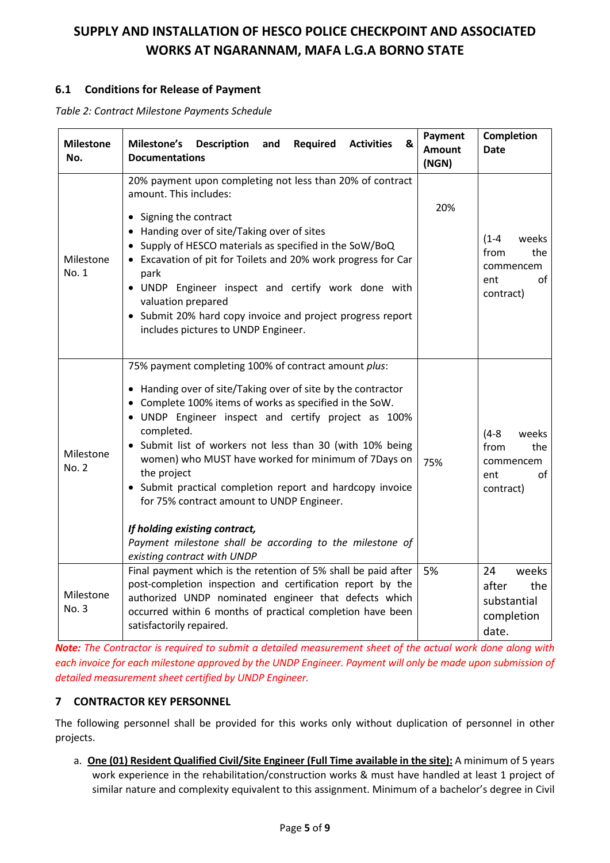### **6.1 Conditions for Release of Payment**

*Table 2: Contract Milestone Payments Schedule*

| <b>Milestone</b><br>No. | Milestone's<br>Required<br><b>Description</b><br>and<br><b>Activities</b><br>&<br><b>Documentations</b>                                                                                                                                                                                                                                                                                                                                                                                                                                                                                                                       | Payment<br><b>Amount</b><br>(NGN) | Completion<br><b>Date</b>                                                |
|-------------------------|-------------------------------------------------------------------------------------------------------------------------------------------------------------------------------------------------------------------------------------------------------------------------------------------------------------------------------------------------------------------------------------------------------------------------------------------------------------------------------------------------------------------------------------------------------------------------------------------------------------------------------|-----------------------------------|--------------------------------------------------------------------------|
| Milestone<br>No. 1      | 20% payment upon completing not less than 20% of contract<br>amount. This includes:<br>• Signing the contract<br>• Handing over of site/Taking over of sites<br>• Supply of HESCO materials as specified in the SoW/BoQ<br>• Excavation of pit for Toilets and 20% work progress for Car<br>park<br>. UNDP Engineer inspect and certify work done with<br>valuation prepared<br>• Submit 20% hard copy invoice and project progress report<br>includes pictures to UNDP Engineer.                                                                                                                                             | 20%                               | $(1 - 4)$<br>weeks<br>from<br>the<br>commencem<br>of<br>ent<br>contract) |
| Milestone<br>No. 2      | 75% payment completing 100% of contract amount plus:<br>• Handing over of site/Taking over of site by the contractor<br>• Complete 100% items of works as specified in the SoW.<br>· UNDP Engineer inspect and certify project as 100%<br>completed.<br>• Submit list of workers not less than 30 (with 10% being<br>women) who MUST have worked for minimum of 7Days on<br>the project<br>• Submit practical completion report and hardcopy invoice<br>for 75% contract amount to UNDP Engineer.<br>If holding existing contract,<br>Payment milestone shall be according to the milestone of<br>existing contract with UNDP | 75%                               | $(4-8)$<br>weeks<br>from<br>the<br>commencem<br>οf<br>ent<br>contract)   |
| Milestone<br>No. 3      | Final payment which is the retention of 5% shall be paid after<br>post-completion inspection and certification report by the<br>authorized UNDP nominated engineer that defects which<br>occurred within 6 months of practical completion have been<br>satisfactorily repaired.                                                                                                                                                                                                                                                                                                                                               | 5%                                | 24<br>weeks<br>after<br>the<br>substantial<br>completion<br>date.        |

*Note: The Contractor is required to submit a detailed measurement sheet of the actual work done along with each invoice for each milestone approved by the UNDP Engineer. Payment will only be made upon submission of detailed measurement sheet certified by UNDP Engineer.* 

#### **7 CONTRACTOR KEY PERSONNEL**

The following personnel shall be provided for this works only without duplication of personnel in other projects.

a. **One (01) Resident Qualified Civil/Site Engineer (Full Time available in the site):** A minimum of 5 years work experience in the rehabilitation/construction works & must have handled at least 1 project of similar nature and complexity equivalent to this assignment. Minimum of a bachelor's degree in Civil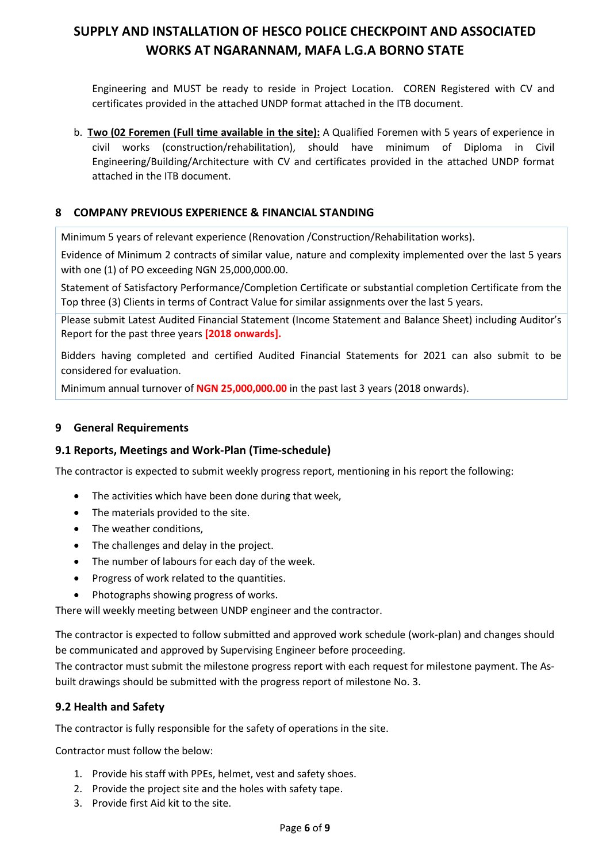Engineering and MUST be ready to reside in Project Location. COREN Registered with CV and certificates provided in the attached UNDP format attached in the ITB document.

b. **Two (02 Foremen (Full time available in the site):** A Qualified Foremen with 5 years of experience in civil works (construction/rehabilitation), should have minimum of Diploma in Civil Engineering/Building/Architecture with CV and certificates provided in the attached UNDP format attached in the ITB document.

#### **8 COMPANY PREVIOUS EXPERIENCE & FINANCIAL STANDING**

Minimum 5 years of relevant experience (Renovation /Construction/Rehabilitation works).

Evidence of Minimum 2 contracts of similar value, nature and complexity implemented over the last 5 years with one (1) of PO exceeding NGN 25,000,000.00.

Statement of Satisfactory Performance/Completion Certificate or substantial completion Certificate from the Top three (3) Clients in terms of Contract Value for similar assignments over the last 5 years.

Please submit Latest Audited Financial Statement (Income Statement and Balance Sheet) including Auditor's Report for the past three years **[2018 onwards].**

Bidders having completed and certified Audited Financial Statements for 2021 can also submit to be considered for evaluation.

Minimum annual turnover of **NGN 25,000,000.00** in the past last 3 years (2018 onwards).

#### **9 General Requirements**

#### **9.1 Reports, Meetings and Work-Plan (Time-schedule)**

The contractor is expected to submit weekly progress report, mentioning in his report the following:

- The activities which have been done during that week,
- The materials provided to the site.
- The weather conditions,
- The challenges and delay in the project.
- The number of labours for each day of the week.
- Progress of work related to the quantities.
- Photographs showing progress of works.

There will weekly meeting between UNDP engineer and the contractor.

The contractor is expected to follow submitted and approved work schedule (work-plan) and changes should be communicated and approved by Supervising Engineer before proceeding.

The contractor must submit the milestone progress report with each request for milestone payment. The Asbuilt drawings should be submitted with the progress report of milestone No. 3.

#### **9.2 Health and Safety**

The contractor is fully responsible for the safety of operations in the site.

Contractor must follow the below:

- 1. Provide his staff with PPEs, helmet, vest and safety shoes.
- 2. Provide the project site and the holes with safety tape.
- 3. Provide first Aid kit to the site.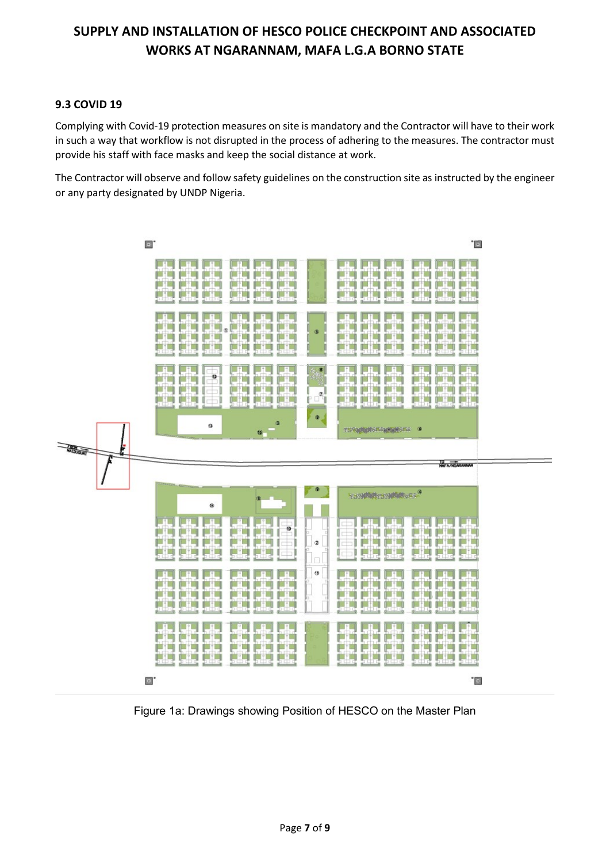### **9.3 COVID 19**

Complying with Covid-19 protection measures on site is mandatory and the Contractor will have to their work in such a way that workflow is not disrupted in the process of adhering to the measures. The contractor must provide his staff with face masks and keep the social distance at work.

The Contractor will observe and follow safety guidelines on the construction site as instructed by the engineer or any party designated by UNDP Nigeria.



Figure 1a: Drawings showing Position of HESCO on the Master Plan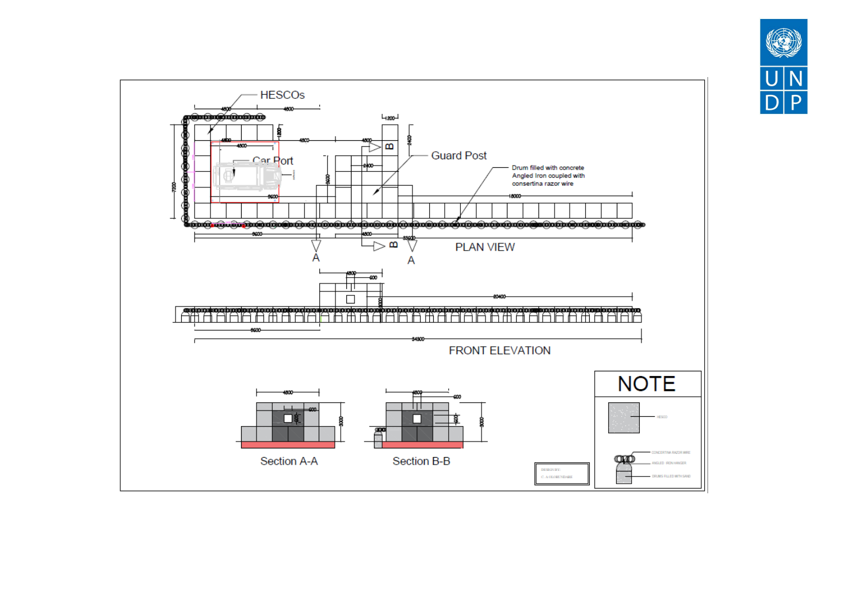